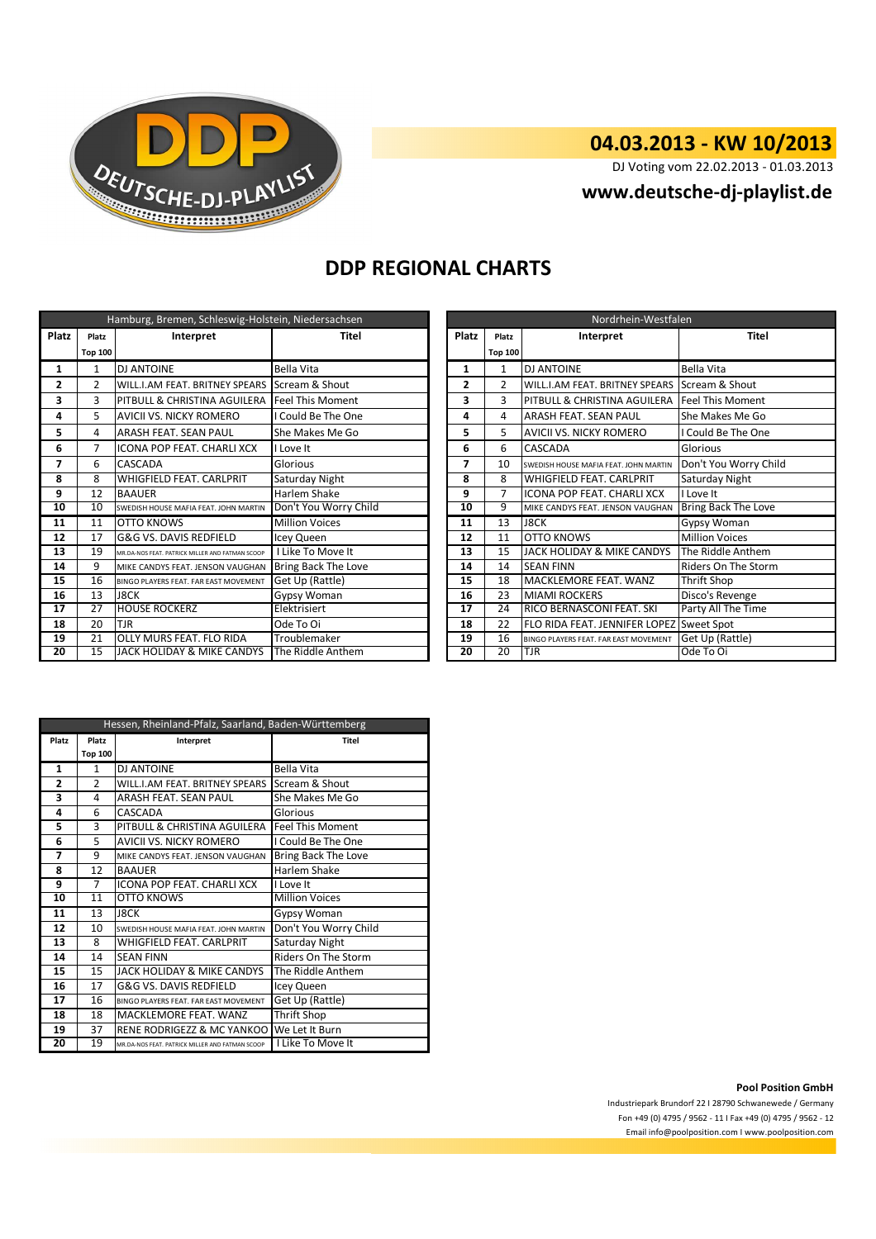

### **04.03.2013 - KW 10/2013**

DJ Voting vom 22.02.2013 - 01.03.2013

**www.deutsche-dj-playlist.de**

## **DDP REGIONAL CHARTS**

| Hamburg, Bremen, Schleswig-Holstein, Niedersachsen |                 |                                                 |                         |       | Nordrhein-Westfalen |                                          |                            |  |
|----------------------------------------------------|-----------------|-------------------------------------------------|-------------------------|-------|---------------------|------------------------------------------|----------------------------|--|
| <b>Platz</b>                                       | Platz           | Interpret                                       | Titel                   | Platz | Platz               | Interpret                                | <b>Titel</b>               |  |
|                                                    | <b>Top 100</b>  |                                                 |                         |       | <b>Top 100</b>      |                                          |                            |  |
| 1                                                  | 1               | <b>DJ ANTOINE</b>                               | Bella Vita              | 1     | $\mathbf{1}$        | <b>DJ ANTOINE</b>                        | <b>Bella Vita</b>          |  |
| 2                                                  | 2               | WILL.I.AM FEAT. BRITNEY SPEARS                  | Scream & Shout          | 2     | $\overline{2}$      | <b>WILL.I.AM FEAT. BRITNEY SPEARS</b>    | Scream & Shout             |  |
| 3                                                  | 3               | PITBULL & CHRISTINA AGUILERA                    | <b>Feel This Moment</b> | 3     | 3                   | <b>PITBULL &amp; CHRISTINA AGUILERA</b>  | <b>Feel This Moment</b>    |  |
| 4                                                  | 5.              | <b>AVICII VS. NICKY ROMERO</b>                  | I Could Be The One      | 4     | 4                   | <b>ARASH FEAT, SEAN PAUL</b>             | She Makes Me Go            |  |
| 5                                                  | 4               | <b>ARASH FEAT. SEAN PAUL</b>                    | She Makes Me Go         | 5     | 5                   | <b>AVICII VS. NICKY ROMERO</b>           | I Could Be The One         |  |
| 6                                                  | $\overline{7}$  | ICONA POP FEAT. CHARLI XCX                      | I Love It               | 6     | 6                   | <b>CASCADA</b>                           | Glorious                   |  |
| 7                                                  | 6               | CASCADA                                         | Glorious                | 7     | 10                  | SWEDISH HOUSE MAFIA FFAT. JOHN MARTIN    | Don't You Worry Child      |  |
| 8                                                  | 8               | <b>WHIGFIELD FEAT, CARLPRIT</b>                 | Saturday Night          | 8     | 8                   | <b>WHIGFIELD FEAT, CARLPRIT</b>          | Saturday Night             |  |
| 9                                                  | 12              | <b>BAAUER</b>                                   | Harlem Shake            | 9     | 7                   | <b>ICONA POP FEAT, CHARLI XCX</b>        | I Love It                  |  |
| 10                                                 | 10              | SWEDISH HOUSE MAFIA FEAT. JOHN MARTIN           | Don't You Worry Child   | 10    | 9                   | MIKE CANDYS FEAT. JENSON VAUGHAN         | <b>Bring Back The Love</b> |  |
| 11                                                 | 11              | <b>OTTO KNOWS</b>                               | <b>Million Voices</b>   | 11    | 13                  | <b>J8CK</b>                              | <b>Gypsy Woman</b>         |  |
| 12                                                 | 17              | G&G VS. DAVIS REDFIELD                          | Icey Queen              | 12    | 11                  | <b>OTTO KNOWS</b>                        | <b>Million Voices</b>      |  |
| 13                                                 | 19              | MR.DA-NOS FEAT, PATRICK MILLER AND FATMAN SCOOP | I Like To Move It       | 13    | 15                  | JACK HOLIDAY & MIKE CANDYS               | The Riddle Anthem          |  |
| 14                                                 | 9               | MIKE CANDYS FEAT. JENSON VAUGHAN                | Bring Back The Love     | 14    | 14                  | <b>SEAN FINN</b>                         | Riders On The Storm        |  |
| 15                                                 | 16              | BINGO PLAYERS FEAT. FAR EAST MOVEMENT           | Get Up (Rattle)         | 15    | 18                  | MACKLEMORE FEAT. WANZ                    | Thrift Shop                |  |
| 16                                                 | 13              | J8CK                                            | Gypsy Woman             | 16    | 23                  | <b>MIAMI ROCKERS</b>                     | Disco's Revenge            |  |
| $\overline{17}$                                    | $\overline{27}$ | <b>HOUSE ROCKERZ</b>                            | Elektrisiert            | 17    | 24                  | RICO BERNASCONI FEAT. SKI                | Party All The Time         |  |
| 18                                                 | 20              | <b>TJR</b>                                      | Ode To Oi               | 18    | 22                  | FLO RIDA FEAT. JENNIFER LOPEZ Sweet Spot |                            |  |
| 19                                                 | 21              | OLLY MURS FEAT. FLO RIDA                        | Troublemaker            | 19    | 16                  | BINGO PLAYERS FEAT. FAR EAST MOVEMENT    | Get Up (Rattle)            |  |
| 20                                                 | 15              | JACK HOLIDAY & MIKE CANDYS                      | The Riddle Anthem       | 20    | $\overline{20}$     | <b>TJR</b>                               | Ode To Oi                  |  |

| Nordrhein-Westfalen |                                                      |                                       |                            |  |
|---------------------|------------------------------------------------------|---------------------------------------|----------------------------|--|
| Platz               | Interpret<br>Platz                                   |                                       | <b>Titel</b>               |  |
|                     | <b>Top 100</b>                                       |                                       |                            |  |
| $\mathbf{1}$        | $\mathbf{1}$                                         | <b>DJ ANTOINE</b>                     | <b>Bella Vita</b>          |  |
| 2                   | $\mathfrak z$                                        | WILL.I.AM FEAT. BRITNEY SPEARS        | Scream & Shout             |  |
| 3                   | 3                                                    | PITBULL & CHRISTINA AGUILERA          | <b>Feel This Moment</b>    |  |
| 4                   | <b>ARASH FEAT, SEAN PAUL</b><br>She Makes Me Go<br>4 |                                       |                            |  |
| 5                   | 5                                                    | AVICII VS. NICKY ROMERO               | I Could Be The One         |  |
| 6                   | 6                                                    | CASCADA                               | Glorious                   |  |
| 7                   | 10                                                   | SWEDISH HOUSE MAFIA FEAT. JOHN MARTIN | Don't You Worry Child      |  |
| 8                   | 8                                                    | <b>WHIGFIELD FEAT, CARLPRIT</b>       | Saturday Night             |  |
| 9                   | 7                                                    | <b>ICONA POP FEAT, CHARLI XCX</b>     | I Love It                  |  |
| 10                  | 9                                                    | MIKE CANDYS FEAT. JENSON VAUGHAN      | <b>Bring Back The Love</b> |  |
| 11                  | 13                                                   | <b>J8CK</b>                           | Gypsy Woman                |  |
| 12                  | 11                                                   | OTTO KNOWS                            | <b>Million Voices</b>      |  |
| 13                  | 15                                                   | JACK HOLIDAY & MIKE CANDYS            | The Riddle Anthem          |  |
| 14                  | 14                                                   | <b>SEAN FINN</b>                      | Riders On The Storm        |  |
| 15                  | 18                                                   | MACKLEMORE FEAT. WANZ                 | <b>Thrift Shop</b>         |  |
| 16                  | 23                                                   | <b>MIAMI ROCKERS</b>                  | Disco's Revenge            |  |
| 17                  | 24                                                   | RICO BERNASCONI FEAT. SKI             | Party All The Time         |  |
| 18                  | 22                                                   | FLO RIDA FEAT, JENNIFER LOPEZ         | Sweet Spot                 |  |
| 19                  | 16                                                   | BINGO PLAYERS FEAT. FAR EAST MOVEMENT | Get Up (Rattle)            |  |
| 20                  | 20                                                   | TJR                                   | Ode To Oi                  |  |

| Hessen, Rheinland-Pfalz, Saarland, Baden-Württemberg |                |                                                 |                            |  |
|------------------------------------------------------|----------------|-------------------------------------------------|----------------------------|--|
| Platz                                                | Platz          | Interpret                                       | Titel                      |  |
|                                                      | <b>Top 100</b> |                                                 |                            |  |
| 1                                                    | $\mathbf{1}$   | <b>DJ ANTOINE</b>                               | <b>Bella Vita</b>          |  |
| 2                                                    | $\overline{2}$ | WILL.I.AM FEAT. BRITNEY SPEARS                  | Scream & Shout             |  |
| 3                                                    | 4              | ARASH FEAT. SEAN PAUL                           | She Makes Me Go            |  |
| 4                                                    | 6              | CASCADA                                         | Glorious                   |  |
| 5                                                    | 3              | PITBULL & CHRISTINA AGUILERA                    | <b>Feel This Moment</b>    |  |
| 6                                                    | 5              | <b>AVICII VS. NICKY ROMERO</b>                  | I Could Be The One         |  |
| 7                                                    | 9              | MIKE CANDYS FEAT. JENSON VAUGHAN                | Bring Back The Love        |  |
| 8                                                    | 12             | <b>BAAUER</b>                                   | Harlem Shake               |  |
| 9                                                    | $\overline{7}$ | <b>ICONA POP FEAT, CHARLI XCX</b>               | I Love It                  |  |
| 10                                                   | 11             | <b>OTTO KNOWS</b>                               | <b>Million Voices</b>      |  |
| 11                                                   | 13             | <b>J8CK</b>                                     | Gypsy Woman                |  |
| 12                                                   | 10             | SWEDISH HOUSE MAFIA FEAT. JOHN MARTIN           | Don't You Worry Child      |  |
| 13                                                   | 8              | <b>WHIGFIELD FEAT, CARLPRIT</b>                 | Saturday Night             |  |
| 14                                                   | 14             | <b>SEAN FINN</b>                                | <b>Riders On The Storm</b> |  |
| 15                                                   | 15             | JACK HOLIDAY & MIKE CANDYS                      | The Riddle Anthem          |  |
| 16                                                   | 17             | G&G VS. DAVIS REDFIELD                          | Icey Queen                 |  |
| 17                                                   | 16             | BINGO PLAYERS FEAT. FAR FAST MOVEMENT           | Get Up (Rattle)            |  |
| 18                                                   | 18             | MACKLEMORE FEAT, WANZ                           | Thrift Shop                |  |
| 19                                                   | 37             | RENE RODRIGEZZ & MC YANKOO                      | We Let It Burn             |  |
| 20                                                   | 19             | MR.DA-NOS FEAT. PATRICK MILLER AND FATMAN SCOOP | I Like To Move It          |  |

**Pool Position GmbH**

Industriepark Brundorf 22 I 28790 Schwanewede / Germany Fon +49 (0) 4795 / 9562 - 11 I Fax +49 (0) 4795 / 9562 - 12 Email info@poolposition.com I www.poolposition.com